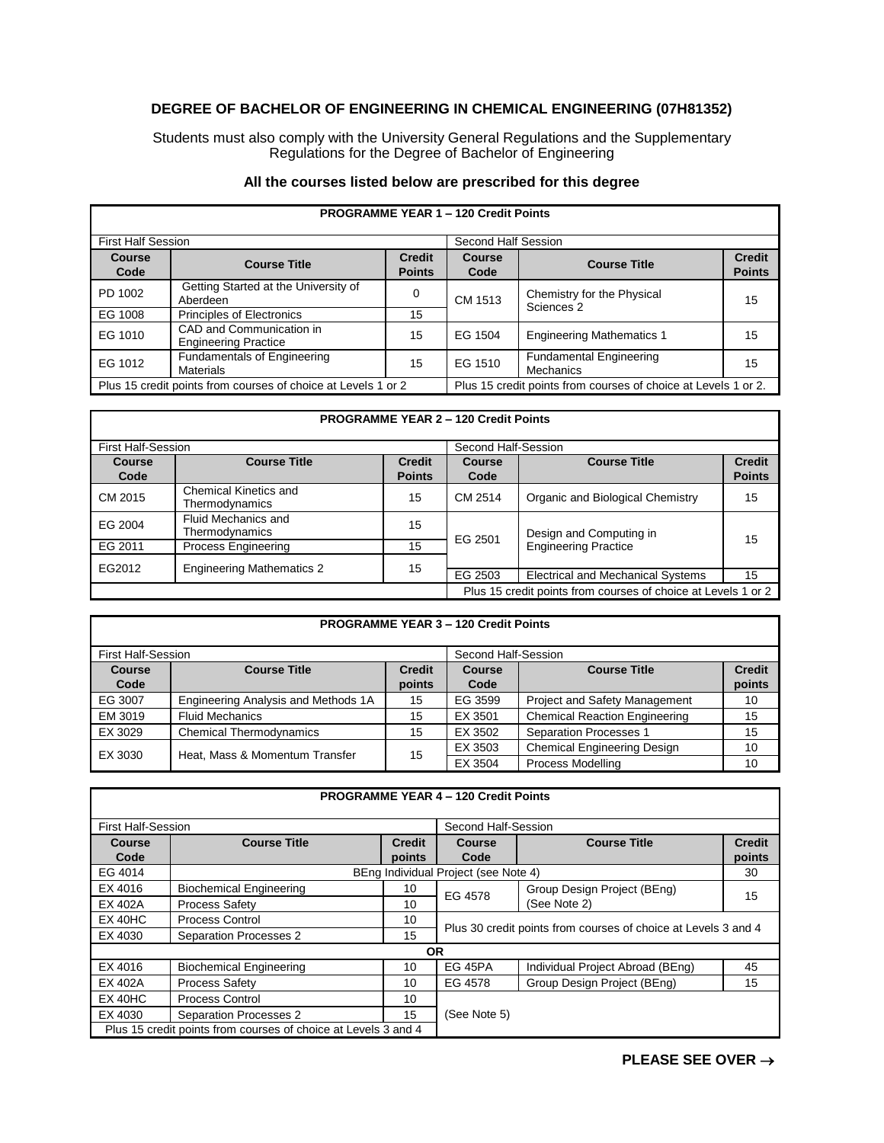## **DEGREE OF BACHELOR OF ENGINEERING IN CHEMICAL ENGINEERING (07H81352)**

Students must also comply with the University General Regulations and the Supplementary Regulations for the Degree of Bachelor of Engineering

## **All the courses listed below are prescribed for this degree**

г

| <b>PROGRAMME YEAR 1 - 120 Credit Points</b>                   |                                                         |                                |                                                                |                                                    |                                |
|---------------------------------------------------------------|---------------------------------------------------------|--------------------------------|----------------------------------------------------------------|----------------------------------------------------|--------------------------------|
| <b>First Half Session</b>                                     |                                                         |                                | Second Half Session                                            |                                                    |                                |
| <b>Course</b><br>Code                                         | <b>Course Title</b>                                     | <b>Credit</b><br><b>Points</b> | Course<br>Code                                                 | <b>Course Title</b>                                | <b>Credit</b><br><b>Points</b> |
| PD 1002                                                       | Getting Started at the University of<br>Aberdeen        | 0                              | CM 1513                                                        | Chemistry for the Physical<br>Sciences 2           | 15                             |
| EG 1008                                                       | <b>Principles of Electronics</b>                        | 15                             |                                                                |                                                    |                                |
| EG 1010                                                       | CAD and Communication in<br><b>Engineering Practice</b> | 15                             | EG 1504                                                        | <b>Engineering Mathematics 1</b>                   | 15                             |
| EG 1012                                                       | Fundamentals of Engineering<br><b>Materials</b>         | 15                             | EG 1510                                                        | <b>Fundamental Engineering</b><br><b>Mechanics</b> | 15                             |
| Plus 15 credit points from courses of choice at Levels 1 or 2 |                                                         |                                | Plus 15 credit points from courses of choice at Levels 1 or 2. |                                                    |                                |

## **PROGRAMME YEAR 2 – 120 Credit Points**

| <b>First Half-Session</b> |                                         |                                | Second Half-Session                                           |                                                        |                                |
|---------------------------|-----------------------------------------|--------------------------------|---------------------------------------------------------------|--------------------------------------------------------|--------------------------------|
| Course<br>Code            | <b>Course Title</b>                     | <b>Credit</b><br><b>Points</b> | Course<br>Code                                                | <b>Course Title</b>                                    | <b>Credit</b><br><b>Points</b> |
| CM 2015                   | Chemical Kinetics and<br>Thermodynamics | 15                             | CM 2514                                                       | Organic and Biological Chemistry                       | 15                             |
| EG 2004                   | Fluid Mechanics and<br>Thermodynamics   | 15                             | EG 2501                                                       | Design and Computing in<br><b>Engineering Practice</b> | 15                             |
| EG 2011                   | <b>Process Engineering</b>              | 15                             |                                                               |                                                        |                                |
| EG2012                    | <b>Engineering Mathematics 2</b>        | 15                             |                                                               |                                                        |                                |
|                           |                                         |                                | EG 2503                                                       | <b>Electrical and Mechanical Systems</b>               | 15                             |
|                           |                                         |                                | Plus 15 credit points from courses of choice at Levels 1 or 2 |                                                        |                                |

| <b>PROGRAMME YEAR 3 - 120 Credit Points</b> |                                     |               |                     |                                      |               |  |
|---------------------------------------------|-------------------------------------|---------------|---------------------|--------------------------------------|---------------|--|
| First Half-Session                          |                                     |               | Second Half-Session |                                      |               |  |
| <b>Course</b>                               | <b>Course Title</b>                 | <b>Credit</b> | Course              | <b>Course Title</b>                  | <b>Credit</b> |  |
| Code                                        |                                     | points        | Code                |                                      | points        |  |
| EG 3007                                     | Engineering Analysis and Methods 1A | 15            | EG 3599             | <b>Project and Safety Management</b> | 10            |  |
| EM 3019                                     | <b>Fluid Mechanics</b>              | 15            | EX 3501             | <b>Chemical Reaction Engineering</b> | 15            |  |
| EX 3029                                     | <b>Chemical Thermodynamics</b>      | 15            | EX 3502             | <b>Separation Processes 1</b>        | 15            |  |
| EX 3030                                     | Heat, Mass & Momentum Transfer      | 15            | EX 3503             | <b>Chemical Engineering Design</b>   | 10            |  |
|                                             |                                     |               | EX 3504             | Process Modelling                    | 10            |  |

| <b>PROGRAMME YEAR 4 - 120 Credit Points</b> |                                                                |               |                                                                |                                  |               |  |
|---------------------------------------------|----------------------------------------------------------------|---------------|----------------------------------------------------------------|----------------------------------|---------------|--|
| <b>First Half-Session</b>                   |                                                                |               | Second Half-Session                                            |                                  |               |  |
| <b>Course</b>                               | <b>Course Title</b>                                            | <b>Credit</b> | Course                                                         | <b>Course Title</b>              | <b>Credit</b> |  |
| Code                                        |                                                                | points        | Code                                                           |                                  | points        |  |
| EG 4014                                     | BEng Individual Project (see Note 4)                           |               |                                                                |                                  | 30            |  |
| EX 4016                                     | <b>Biochemical Engineering</b>                                 | 10            | EG 4578                                                        | Group Design Project (BEng)      | 15            |  |
| EX 402A                                     | <b>Process Safety</b>                                          | 10            |                                                                | (See Note 2)                     |               |  |
| $EX$ 40HC                                   | Process Control                                                | 10            | Plus 30 credit points from courses of choice at Levels 3 and 4 |                                  |               |  |
| EX 4030                                     | Separation Processes 2                                         | 15            |                                                                |                                  |               |  |
| <b>OR</b>                                   |                                                                |               |                                                                |                                  |               |  |
| EX 4016                                     | <b>Biochemical Engineering</b>                                 | 10            | EG 45PA                                                        | Individual Project Abroad (BEng) | 45            |  |
| EX 402A                                     | <b>Process Safety</b>                                          | 10            | EG 4578                                                        | Group Design Project (BEng)      | 15            |  |
| $EX$ 40HC                                   | <b>Process Control</b>                                         | 10            |                                                                |                                  |               |  |
| EX 4030                                     | Separation Processes 2                                         | 15            | (See Note 5)                                                   |                                  |               |  |
|                                             | Plus 15 credit points from courses of choice at Levels 3 and 4 |               |                                                                |                                  |               |  |